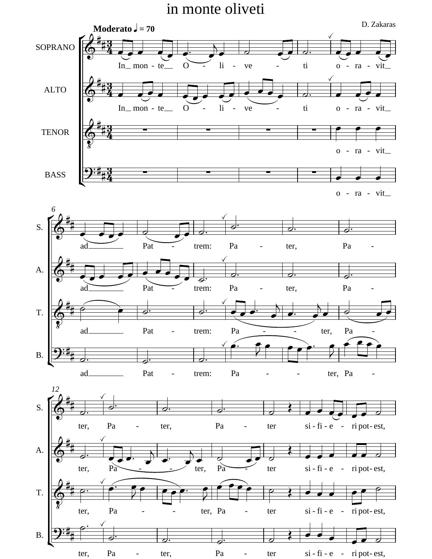## in monte oliveti